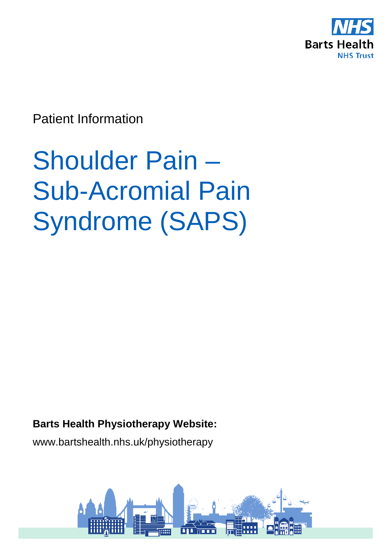

Patient Information

# Shoulder Pain – Sub-Acromial Pain Syndrome (SAPS)

## **Barts Health Physiotherapy Website:**

www.bartshealth.nhs.uk/physiotherapy

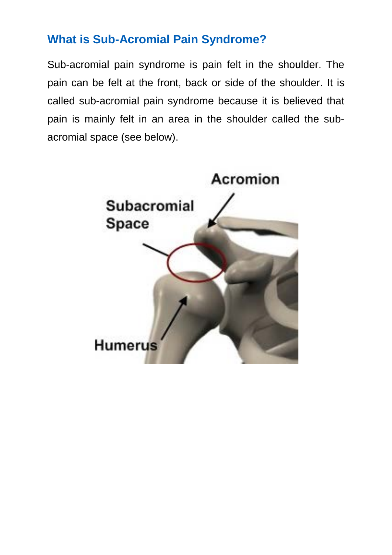# **What is Sub-Acromial Pain Syndrome?**

Sub-acromial pain syndrome is pain felt in the shoulder. The pain can be felt at the front, back or side of the shoulder. It is called sub-acromial pain syndrome because it is believed that pain is mainly felt in an area in the shoulder called the subacromial space (see below).

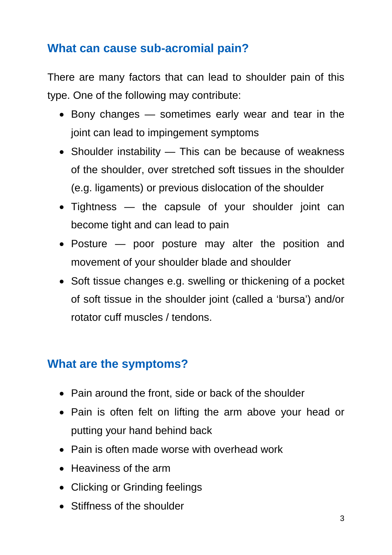# **What can cause sub-acromial pain?**

There are many factors that can lead to shoulder pain of this type. One of the following may contribute:

- Bony changes sometimes early wear and tear in the joint can lead to impingement symptoms
- Shoulder instability This can be because of weakness of the shoulder, over stretched soft tissues in the shoulder (e.g. ligaments) or previous dislocation of the shoulder
- Tightness the capsule of your shoulder joint can become tight and can lead to pain
- Posture poor posture may alter the position and movement of your shoulder blade and shoulder
- Soft tissue changes e.g. swelling or thickening of a pocket of soft tissue in the shoulder joint (called a 'bursa') and/or rotator cuff muscles / tendons.

# **What are the symptoms?**

- Pain around the front, side or back of the shoulder
- Pain is often felt on lifting the arm above your head or putting your hand behind back
- Pain is often made worse with overhead work
- Heaviness of the arm
- Clicking or Grinding feelings
- Stiffness of the shoulder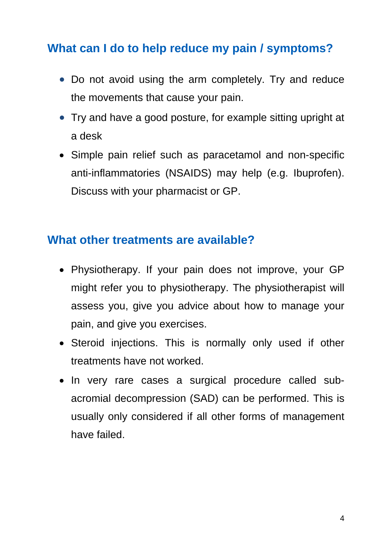# **What can I do to help reduce my pain / symptoms?**

- Do not avoid using the arm completely. Try and reduce the movements that cause your pain.
- Try and have a good posture, for example sitting upright at a desk
- Simple pain relief such as paracetamol and non-specific anti-inflammatories (NSAIDS) may help (e.g. Ibuprofen). Discuss with your pharmacist or GP.

## **What other treatments are available?**

- Physiotherapy. If your pain does not improve, your GP might refer you to physiotherapy. The physiotherapist will assess you, give you advice about how to manage your pain, and give you exercises.
- Steroid injections. This is normally only used if other treatments have not worked.
- In very rare cases a surgical procedure called subacromial decompression (SAD) can be performed. This is usually only considered if all other forms of management have failed.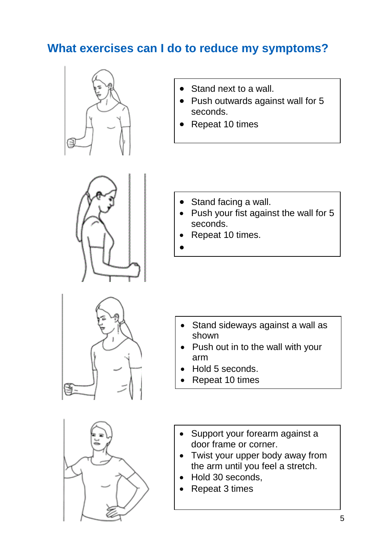# **What exercises can I do to reduce my symptoms?**



- Stand next to a wall.
- Push outwards against wall for 5 seconds.
- Repeat 10 times



- Stand facing a wall.
- Push your fist against the wall for 5 seconds.
- Repeat 10 times.
- •

- Stand sideways against a wall as shown
- Push out in to the wall with your arm
- Hold 5 seconds.
- Repeat 10 times



- Support your forearm against a door frame or corner.
- Twist your upper body away from the arm until you feel a stretch.
- Hold 30 seconds,
- Repeat 3 times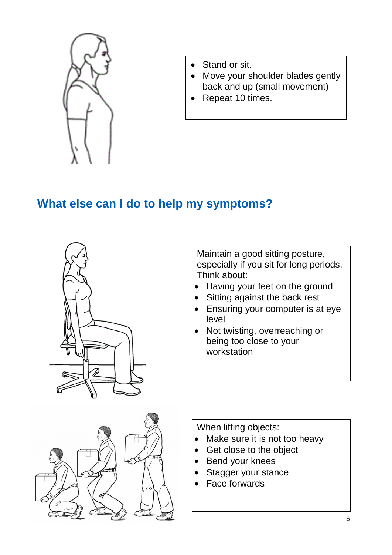

- Stand or sit.
- Move your shoulder blades gently back and up (small movement)
- Repeat 10 times.

# **What else can I do to help my symptoms?**



Maintain a good sitting posture, especially if you sit for long periods. Think about:

- Having your feet on the ground
- Sitting against the back rest
- Ensuring your computer is at eye level
- Not twisting, overreaching or being too close to your workstation



When lifting objects:

- Make sure it is not too heavy
- Get close to the object
- Bend your knees
- Stagger your stance
- Face forwards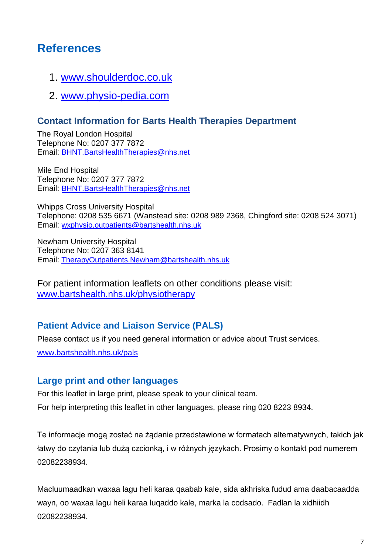## **References**

- 1. [www.shoulderdoc.co.uk](http://www.shoulderdoc.co.uk/)
- 2. [www.physio-pedia.com](http://www.physio-pedia.com/)

#### **Contact Information for Barts Health Therapies Department**

The Royal London Hospital Telephone No: 0207 377 7872 Email: [BHNT.BartsHealthTherapies@nhs.net](mailto:BHNT.BartsHealthTherapies@nhs.net)

Mile End Hospital Telephone No: 0207 377 7872 Email: [BHNT.BartsHealthTherapies@nhs.net](mailto:BHNT.BartsHealthTherapies@nhs.net)

Whipps Cross University Hospital Telephone: 0208 535 6671 (Wanstead site: 0208 989 2368, Chingford site: 0208 524 3071) Email: [wxphysio.outpatients@bartshealth.nhs.uk](mailto:wxphysio.outpatients@bartshealth.nhs.uk)

Newham University Hospital Telephone No: 0207 363 8141 Email: [TherapyOutpatients.Newham@bartshealth.nhs.uk](mailto:TherapyOutpatients.Newham@bartshealth.nhs.uk)

For patient information leaflets on other conditions please visit: [www.bartshealth.nhs.uk/physiotherapy](http://www.bartshealth.nhs.uk/physiotherapy)

### **Patient Advice and Liaison Service (PALS)**

Please contact us if you need general information or advice about Trust services.

[www.bartshealth.nhs.uk/pals](http://www.bartshealth.nhs.uk/pals)

#### **Large print and other languages**

For this leaflet in large print, please speak to your clinical team. For help interpreting this leaflet in other languages, please ring 020 8223 8934.

Te informacje mogą zostać na żądanie przedstawione w formatach alternatywnych, takich jak łatwy do czytania lub dużą czcionką, i w różnych językach. Prosimy o kontakt pod numerem 02082238934.

Macluumaadkan waxaa lagu heli karaa qaabab kale, sida akhriska fudud ama daabacaadda wayn, oo waxaa lagu heli karaa luqaddo kale, marka la codsado. Fadlan la xidhiidh 02082238934.